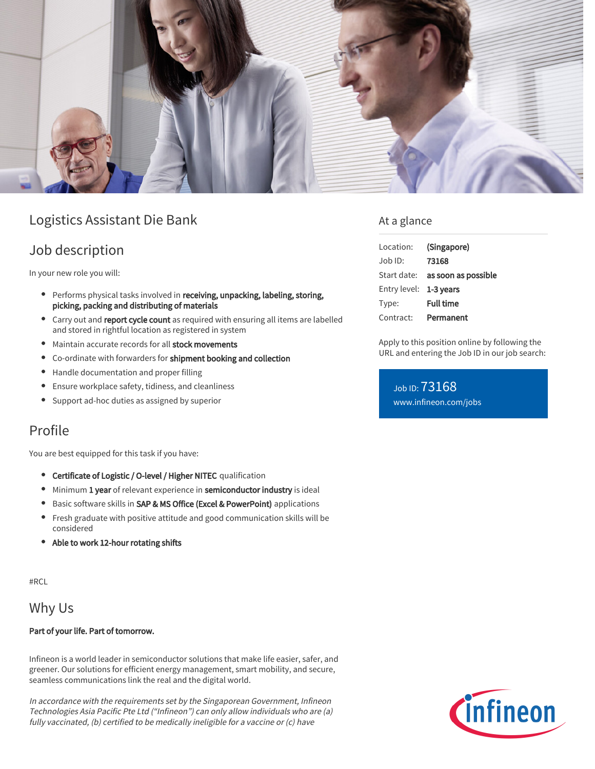

# Logistics Assistant Die Bank

## Job description

In your new role you will:

- Performs physical tasks involved in receiving, unpacking, labeling, storing, picking, packing and distributing of materials
- Carry out and report cycle count as required with ensuring all items are labelled and stored in rightful location as registered in system
- Maintain accurate records for all stock movements
- Co-ordinate with forwarders for shipment booking and collection
- Handle documentation and proper filling
- Ensure workplace safety, tidiness, and cleanliness  $\bullet$
- Support ad-hoc duties as assigned by superior

## Profile

You are best equipped for this task if you have:

- Certificate of Logistic / O-level / Higher NITEC qualification
- $\bullet$  Minimum 1 year of relevant experience in semiconductor industry is ideal
- **•** Basic software skills in SAP & MS Office (Excel & PowerPoint) applications
- Fresh graduate with positive attitude and good communication skills will be considered
- Able to work 12-hour rotating shifts

#RCL

## Why Us

#### Part of your life. Part of tomorrow.

Infineon is a world leader in semiconductor solutions that make life easier, safer, and greener. Our solutions for efficient energy management, smart mobility, and secure, seamless communications link the real and the digital world.

In accordance with the requirements set by the Singaporean Government, Infineon Technologies Asia Pacific Pte Ltd ("Infineon") can only allow individuals who are (a) fully vaccinated, (b) certified to be medically ineligible for a vaccine or (c) have

### At a glance

| Location:              | (Singapore)                            |
|------------------------|----------------------------------------|
| Job ID:                | 73168                                  |
|                        | Start date: <b>as soon as possible</b> |
| Entry level: 1-3 years |                                        |
| Type:                  | <b>Full time</b>                       |
| Contract:              | Permanent                              |

Apply to this position online by following the URL and entering the Job ID in our job search:

Job ID: 73168 [www.infineon.com/jobs](https://www.infineon.com/jobs)